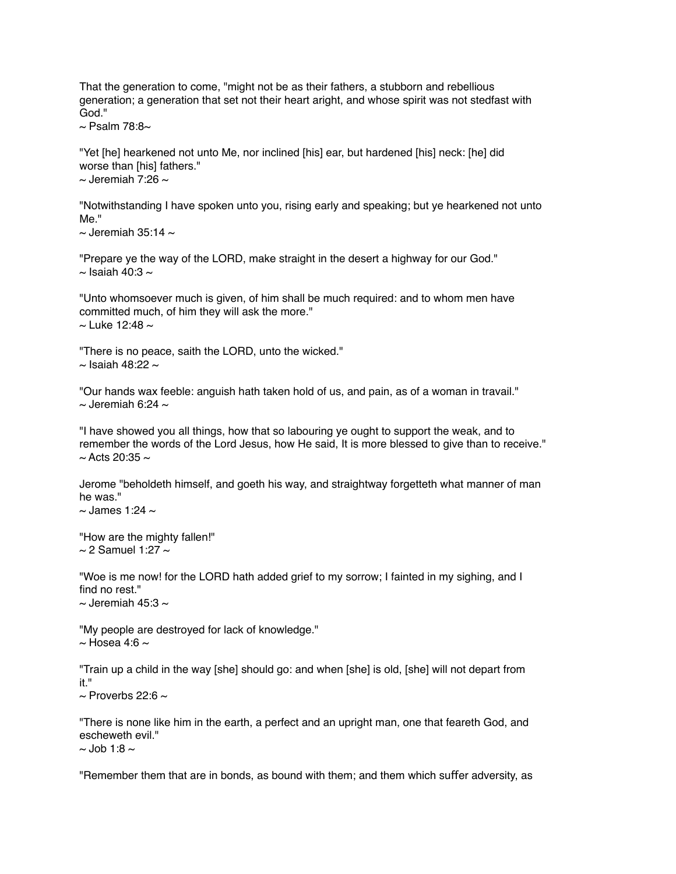That the generation to come, "might not be as their fathers, a stubborn and rebellious generation; a generation that set not their heart aright, and whose spirit was not stedfast with God."

 $\sim$  Psalm 78:8 $\sim$ 

"Yet [he] hearkened not unto Me, nor inclined [his] ear, but hardened [his] neck: [he] did worse than [his] fathers."  $\sim$  Jeremiah 7:26  $\sim$ 

"Notwithstanding I have spoken unto you, rising early and speaking; but ye hearkened not unto Me."

 $\sim$  Jeremiah 35:14  $\sim$ 

"Prepare ye the way of the LORD, make straight in the desert a highway for our God."  $\sim$  Isaiah 40:3  $\sim$ 

"Unto whomsoever much is given, of him shall be much required: and to whom men have committed much, of him they will ask the more."  $\sim$  Luke 12:48  $\sim$ 

"There is no peace, saith the LORD, unto the wicked."  $\sim$  Isaiah 48:22  $\sim$ 

"Our hands wax feeble: anguish hath taken hold of us, and pain, as of a woman in travail."  $\sim$  Jeremiah 6:24  $\sim$ 

"I have showed you all things, how that so labouring ye ought to support the weak, and to remember the words of the Lord Jesus, how He said, It is more blessed to give than to receive."  $\sim$  Acts 20:35  $\sim$ 

Jerome "beholdeth himself, and goeth his way, and straightway forgetteth what manner of man he was."

 $\sim$  James 1:24  $\sim$ 

"How are the mighty fallen!"  $\sim$  2 Samuel 1:27  $\sim$ 

"Woe is me now! for the LORD hath added grief to my sorrow; I fainted in my sighing, and I find no rest."

 $\sim$  Jeremiah 45:3  $\sim$ 

"My people are destroyed for lack of knowledge."  $\sim$  Hosea 4:6  $\sim$ 

"Train up a child in the way [she] should go: and when [she] is old, [she] will not depart from it."

 $\sim$  Proverbs 22:6  $\sim$ 

"There is none like him in the earth, a perfect and an upright man, one that feareth God, and escheweth evil."  $\sim$  Job 1:8  $\sim$ 

"Remember them that are in bonds, as bound with them; and them which sufer adversity, as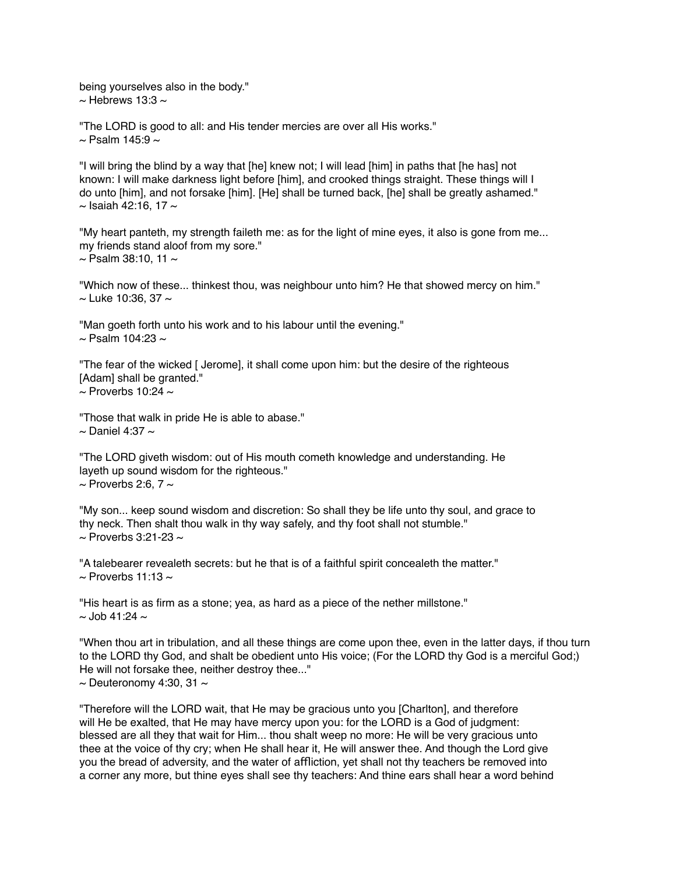being yourselves also in the body."  $\sim$  Hebrews 13:3  $\sim$ 

"The LORD is good to all: and His tender mercies are over all His works."  $\sim$  Psalm 145:9  $\sim$ 

"I will bring the blind by a way that [he] knew not; I will lead [him] in paths that [he has] not known: I will make darkness light before [him], and crooked things straight. These things will I do unto [him], and not forsake [him]. [He] shall be turned back, [he] shall be greatly ashamed."  $\sim$  Isaiah 42:16, 17  $\sim$ 

"My heart panteth, my strength faileth me: as for the light of mine eyes, it also is gone from me... my friends stand aloof from my sore."  $\sim$  Psalm 38:10, 11  $\sim$ 

"Which now of these... thinkest thou, was neighbour unto him? He that showed mercy on him."  $\sim$  Luke 10:36, 37  $\sim$ 

"Man goeth forth unto his work and to his labour until the evening."  $\sim$  Psalm 104:23  $\sim$ 

"The fear of the wicked [ Jerome], it shall come upon him: but the desire of the righteous [Adam] shall be granted."  $\sim$  Proverbs 10:24  $\sim$ 

"Those that walk in pride He is able to abase."  $\sim$  Daniel 4:37  $\sim$ 

"The LORD giveth wisdom: out of His mouth cometh knowledge and understanding. He layeth up sound wisdom for the righteous."  $\sim$  Proverbs 2:6, 7  $\sim$ 

"My son... keep sound wisdom and discretion: So shall they be life unto thy soul, and grace to thy neck. Then shalt thou walk in thy way safely, and thy foot shall not stumble."  $\sim$  Proverbs 3:21-23  $\sim$ 

"A talebearer revealeth secrets: but he that is of a faithful spirit concealeth the matter."  $\sim$  Proverbs 11:13  $\sim$ 

"His heart is as firm as a stone; yea, as hard as a piece of the nether millstone."  $\sim$  Job 41:24  $\sim$ 

"When thou art in tribulation, and all these things are come upon thee, even in the latter days, if thou turn to the LORD thy God, and shalt be obedient unto His voice; (For the LORD thy God is a merciful God;) He will not forsake thee, neither destroy thee..."  $\sim$  Deuteronomy 4:30, 31  $\sim$ 

"Therefore will the LORD wait, that He may be gracious unto you [Charlton], and therefore will He be exalted, that He may have mercy upon you: for the LORD is a God of judgment: blessed are all they that wait for Him... thou shalt weep no more: He will be very gracious unto thee at the voice of thy cry; when He shall hear it, He will answer thee. And though the Lord give you the bread of adversity, and the water of affliction, yet shall not thy teachers be removed into a corner any more, but thine eyes shall see thy teachers: And thine ears shall hear a word behind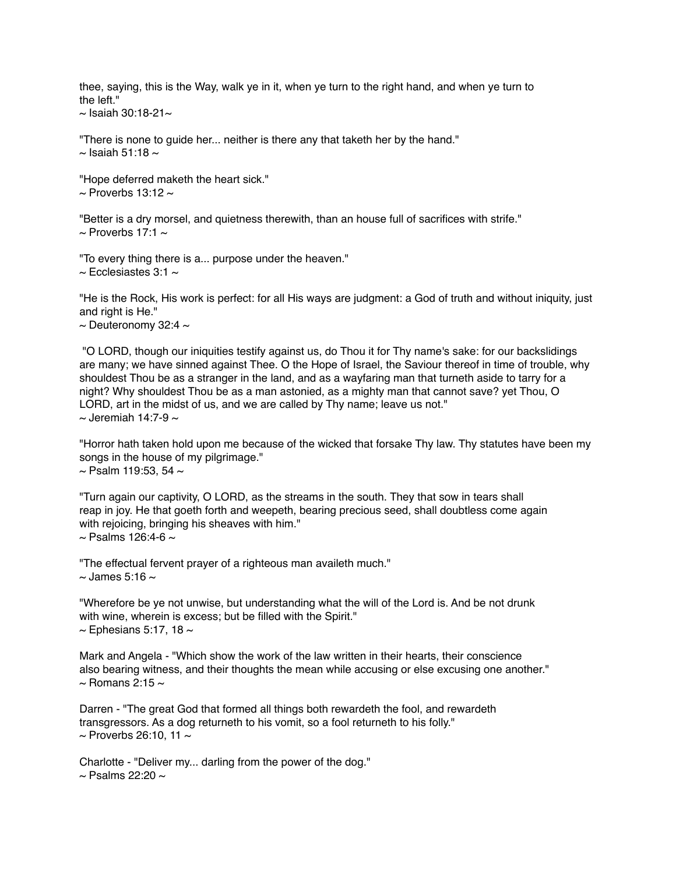thee, saying, this is the Way, walk ye in it, when ye turn to the right hand, and when ye turn to the left."

 $\sim$  Isaiah 30:18-21 $\sim$ 

"There is none to guide her... neither is there any that taketh her by the hand."  $\sim$  Isaiah 51:18  $\sim$ 

"Hope deferred maketh the heart sick."  $\sim$  Proverbs 13:12  $\sim$ 

"Better is a dry morsel, and quietness therewith, than an house full of sacrifices with strife."  $\sim$  Proverbs 17:1  $\sim$ 

"To every thing there is a... purpose under the heaven."  $\sim$  Ecclesiastes 3:1  $\sim$ 

"He is the Rock, His work is perfect: for all His ways are judgment: a God of truth and without iniquity, just and right is He."

 $\sim$  Deuteronomy 32:4  $\sim$ 

 "O LORD, though our iniquities testify against us, do Thou it for Thy name's sake: for our backslidings are many; we have sinned against Thee. O the Hope of Israel, the Saviour thereof in time of trouble, why shouldest Thou be as a stranger in the land, and as a wayfaring man that turneth aside to tarry for a night? Why shouldest Thou be as a man astonied, as a mighty man that cannot save? yet Thou, O LORD, art in the midst of us, and we are called by Thy name; leave us not."  $\sim$  Jeremiah 14:7-9  $\sim$ 

"Horror hath taken hold upon me because of the wicked that forsake Thy law. Thy statutes have been my songs in the house of my pilgrimage."  $\sim$  Psalm 119:53, 54  $\sim$ 

"Turn again our captivity, O LORD, as the streams in the south. They that sow in tears shall reap in joy. He that goeth forth and weepeth, bearing precious seed, shall doubtless come again with rejoicing, bringing his sheaves with him."  $\sim$  Psalms 126:4-6  $\sim$ 

"The effectual fervent prayer of a righteous man availeth much."  $\sim$  James 5:16  $\sim$ 

"Wherefore be ye not unwise, but understanding what the will of the Lord is. And be not drunk with wine, wherein is excess; but be filled with the Spirit."  $\sim$  Ephesians 5:17, 18  $\sim$ 

Mark and Angela - "Which show the work of the law written in their hearts, their conscience also bearing witness, and their thoughts the mean while accusing or else excusing one another."  $\sim$  Romans 2:15  $\sim$ 

Darren - "The great God that formed all things both rewardeth the fool, and rewardeth transgressors. As a dog returneth to his vomit, so a fool returneth to his folly."  $\sim$  Proverbs 26:10, 11  $\sim$ 

Charlotte - "Deliver my... darling from the power of the dog."  $\sim$  Psalms 22:20  $\sim$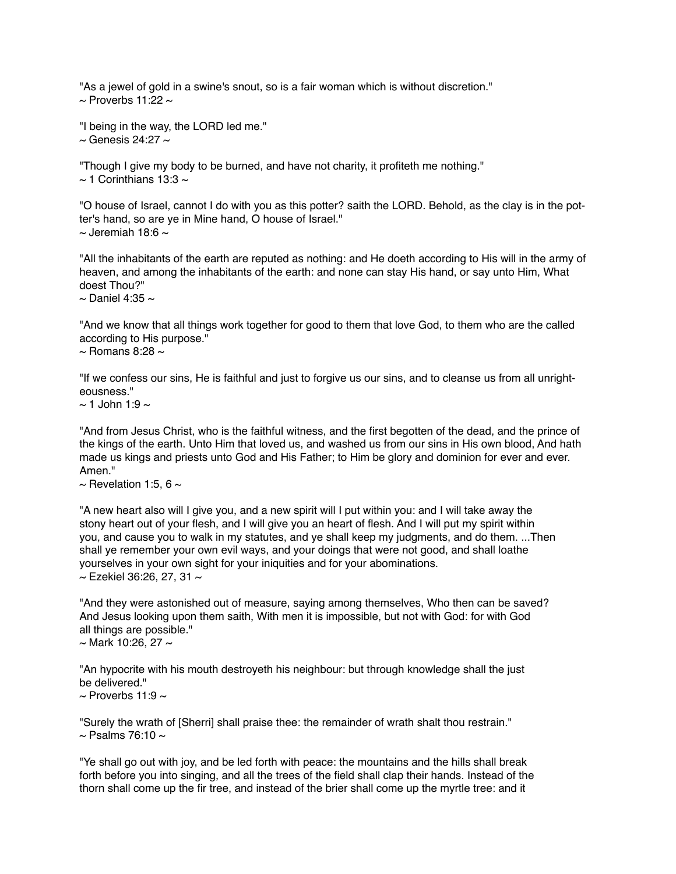"As a jewel of gold in a swine's snout, so is a fair woman which is without discretion."  $\sim$  Proverbs 11:22  $\sim$ 

"I being in the way, the LORD led me."  $\sim$  Genesis 24:27  $\sim$ 

"Though I give my body to be burned, and have not charity, it profiteth me nothing."  $\sim$  1 Corinthians 13:3  $\sim$ 

"O house of Israel, cannot I do with you as this potter? saith the LORD. Behold, as the clay is in the potter's hand, so are ye in Mine hand, O house of Israel."  $\sim$  Jeremiah 18:6  $\sim$ 

"All the inhabitants of the earth are reputed as nothing: and He doeth according to His will in the army of heaven, and among the inhabitants of the earth: and none can stay His hand, or say unto Him, What doest Thou?"

 $\sim$  Daniel 4:35  $\sim$ 

"And we know that all things work together for good to them that love God, to them who are the called according to His purpose."

 $\sim$  Romans 8:28  $\sim$ 

"If we confess our sins, He is faithful and just to forgive us our sins, and to cleanse us from all unrighteousness."

 $\sim$  1 John 1:9  $\sim$ 

"And from Jesus Christ, who is the faithful witness, and the first begotten of the dead, and the prince of the kings of the earth. Unto Him that loved us, and washed us from our sins in His own blood, And hath made us kings and priests unto God and His Father; to Him be glory and dominion for ever and ever. Amen."

 $\sim$  Revelation 1:5, 6  $\sim$ 

"A new heart also will I give you, and a new spirit will I put within you: and I will take away the stony heart out of your flesh, and I will give you an heart of flesh. And I will put my spirit within you, and cause you to walk in my statutes, and ye shall keep my judgments, and do them. ...Then shall ye remember your own evil ways, and your doings that were not good, and shall loathe yourselves in your own sight for your iniquities and for your abominations.  $\sim$  Ezekiel 36:26, 27, 31  $\sim$ 

"And they were astonished out of measure, saying among themselves, Who then can be saved? And Jesus looking upon them saith, With men it is impossible, but not with God: for with God all things are possible."

 $\sim$  Mark 10:26, 27  $\sim$ 

"An hypocrite with his mouth destroyeth his neighbour: but through knowledge shall the just be delivered."

 $\sim$  Proverbs 11:9  $\sim$ 

"Surely the wrath of [Sherri] shall praise thee: the remainder of wrath shalt thou restrain."  $\sim$  Psalms 76:10  $\sim$ 

"Ye shall go out with joy, and be led forth with peace: the mountains and the hills shall break forth before you into singing, and all the trees of the field shall clap their hands. Instead of the thorn shall come up the fir tree, and instead of the brier shall come up the myrtle tree: and it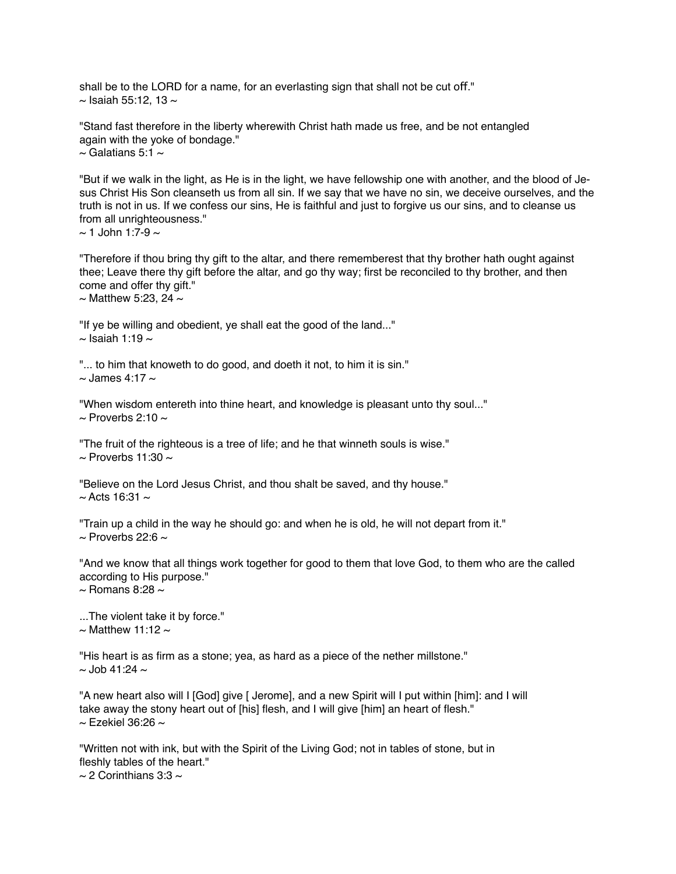shall be to the LORD for a name, for an everlasting sign that shall not be cut off."  $\sim$  Isaiah 55:12, 13  $\sim$ 

"Stand fast therefore in the liberty wherewith Christ hath made us free, and be not entangled again with the yoke of bondage."  $\sim$  Galatians 5:1  $\sim$ 

"But if we walk in the light, as He is in the light, we have fellowship one with another, and the blood of Jesus Christ His Son cleanseth us from all sin. If we say that we have no sin, we deceive ourselves, and the truth is not in us. If we confess our sins, He is faithful and just to forgive us our sins, and to cleanse us from all unrighteousness."

 $\sim$  1 John 1:7-9  $\sim$ 

"Therefore if thou bring thy gift to the altar, and there rememberest that thy brother hath ought against thee; Leave there thy gift before the altar, and go thy way; first be reconciled to thy brother, and then come and offer thy gift."

 $\sim$  Matthew 5:23, 24  $\sim$ 

"If ye be willing and obedient, ye shall eat the good of the land..."  $\sim$  Isaiah 1:19  $\sim$ 

"... to him that knoweth to do good, and doeth it not, to him it is sin."  $\sim$  James 4:17  $\sim$ 

"When wisdom entereth into thine heart, and knowledge is pleasant unto thy soul..."  $\sim$  Proverbs 2:10  $\sim$ 

"The fruit of the righteous is a tree of life; and he that winneth souls is wise."  $\sim$  Proverbs 11:30  $\sim$ 

"Believe on the Lord Jesus Christ, and thou shalt be saved, and thy house."  $\sim$  Acts 16:31  $\sim$ 

"Train up a child in the way he should go: and when he is old, he will not depart from it."  $\sim$  Proverbs 22:6  $\sim$ 

"And we know that all things work together for good to them that love God, to them who are the called according to His purpose."  $\sim$  Romans 8:28  $\sim$ 

...The violent take it by force."  $\sim$  Matthew 11:12  $\sim$ 

"His heart is as firm as a stone; yea, as hard as a piece of the nether millstone."  $\sim$  Job 41:24  $\sim$ 

"A new heart also will I [God] give [ Jerome], and a new Spirit will I put within [him]: and I will take away the stony heart out of [his] flesh, and I will give [him] an heart of flesh."  $\sim$  Ezekiel 36:26  $\sim$ 

"Written not with ink, but with the Spirit of the Living God; not in tables of stone, but in fleshly tables of the heart."  $\sim$  2 Corinthians 3:3  $\sim$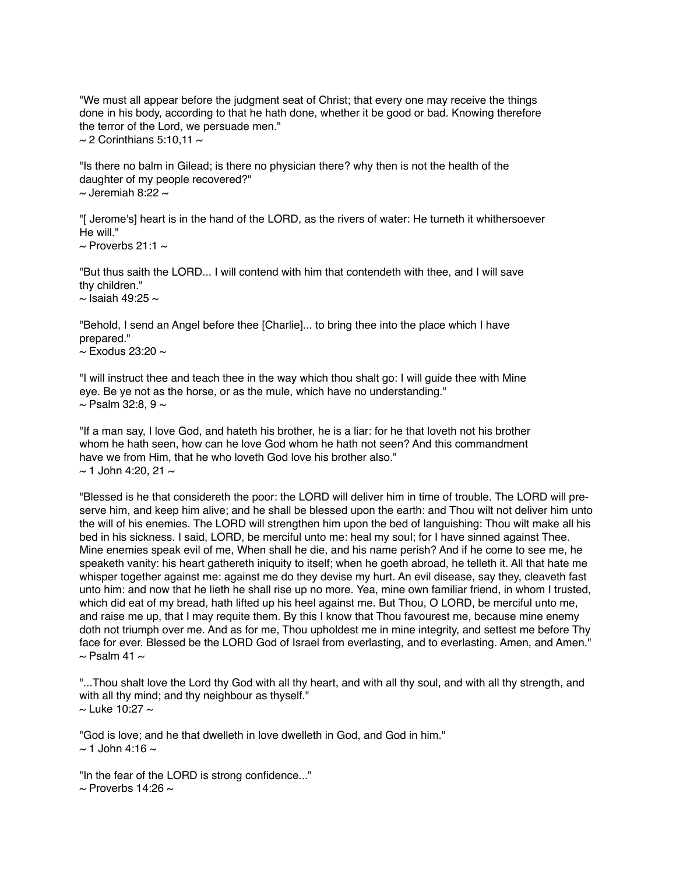"We must all appear before the judgment seat of Christ; that every one may receive the things done in his body, according to that he hath done, whether it be good or bad. Knowing therefore the terror of the Lord, we persuade men."  $\sim$  2 Corinthians 5:10,11  $\sim$ 

"Is there no balm in Gilead; is there no physician there? why then is not the health of the daughter of my people recovered?"  $\sim$  Jeremiah 8:22  $\sim$ 

"[ Jerome's] heart is in the hand of the LORD, as the rivers of water: He turneth it whithersoever He will"

 $\sim$  Proverbs 21:1  $\sim$ 

"But thus saith the LORD... I will contend with him that contendeth with thee, and I will save thy children."

 $\sim$  Isaiah 49:25  $\sim$ 

"Behold, I send an Angel before thee [Charlie]... to bring thee into the place which I have prepared."

 $\sim$  Exodus 23:20  $\sim$ 

"I will instruct thee and teach thee in the way which thou shalt go: I will guide thee with Mine eye. Be ye not as the horse, or as the mule, which have no understanding."  $\sim$  Psalm 32:8, 9  $\sim$ 

"If a man say, I love God, and hateth his brother, he is a liar: for he that loveth not his brother whom he hath seen, how can he love God whom he hath not seen? And this commandment have we from Him, that he who loveth God love his brother also."  $\sim$  1 John 4:20, 21  $\sim$ 

"Blessed is he that considereth the poor: the LORD will deliver him in time of trouble. The LORD will preserve him, and keep him alive; and he shall be blessed upon the earth: and Thou wilt not deliver him unto the will of his enemies. The LORD will strengthen him upon the bed of languishing: Thou wilt make all his bed in his sickness. I said, LORD, be merciful unto me: heal my soul; for I have sinned against Thee. Mine enemies speak evil of me, When shall he die, and his name perish? And if he come to see me, he speaketh vanity: his heart gathereth iniquity to itself; when he goeth abroad, he telleth it. All that hate me whisper together against me: against me do they devise my hurt. An evil disease, say they, cleaveth fast unto him: and now that he lieth he shall rise up no more. Yea, mine own familiar friend, in whom I trusted, which did eat of my bread, hath lifted up his heel against me. But Thou, O LORD, be merciful unto me, and raise me up, that I may requite them. By this I know that Thou favourest me, because mine enemy doth not triumph over me. And as for me, Thou upholdest me in mine integrity, and settest me before Thy face for ever. Blessed be the LORD God of Israel from everlasting, and to everlasting. Amen, and Amen."  $\sim$  Psalm 41  $\sim$ 

"...Thou shalt love the Lord thy God with all thy heart, and with all thy soul, and with all thy strength, and with all thy mind; and thy neighbour as thyself."  $\sim$  Luke 10:27  $\sim$ 

"God is love; and he that dwelleth in love dwelleth in God, and God in him."  $\sim$  1 John 4:16  $\sim$ 

"In the fear of the LORD is strong confidence..."  $\sim$  Proverbs 14:26  $\sim$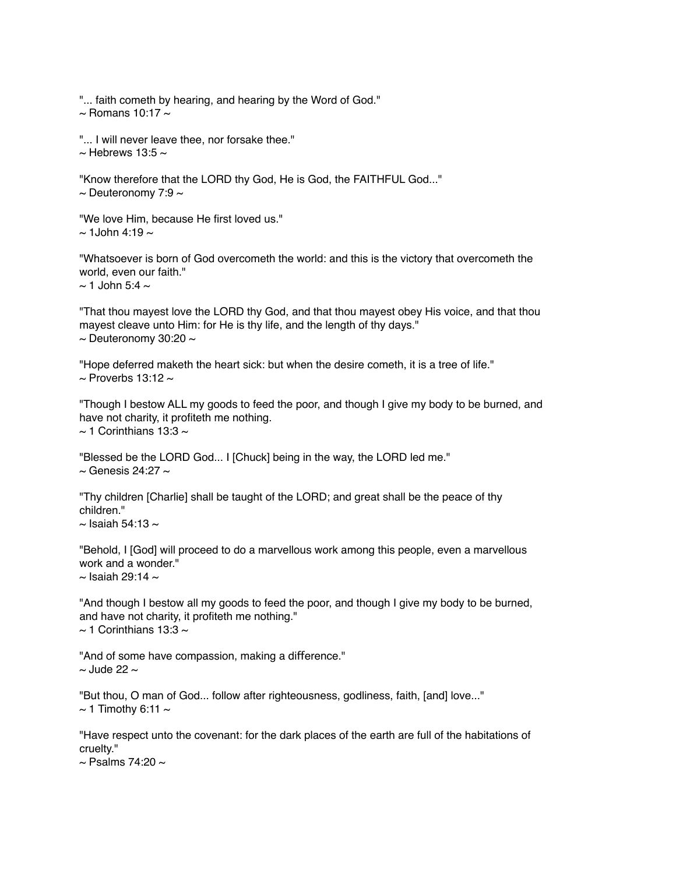"... faith cometh by hearing, and hearing by the Word of God."

 $\sim$  Romans 10:17  $\sim$ 

"... I will never leave thee, nor forsake thee."  $\sim$  Hebrews 13:5  $\sim$ 

"Know therefore that the LORD thy God, He is God, the FAITHFUL God..."  $\sim$  Deuteronomy 7:9  $\sim$ 

"We love Him, because He first loved us."  $\sim$  1John 4:19  $\sim$ 

"Whatsoever is born of God overcometh the world: and this is the victory that overcometh the world, even our faith."  $\sim$  1 John 5:4  $\sim$ 

"That thou mayest love the LORD thy God, and that thou mayest obey His voice, and that thou mayest cleave unto Him: for He is thy life, and the length of thy days."  $\sim$  Deuteronomy 30:20  $\sim$ 

"Hope deferred maketh the heart sick: but when the desire cometh, it is a tree of life."  $\sim$  Proverbs 13:12  $\sim$ 

"Though I bestow ALL my goods to feed the poor, and though I give my body to be burned, and have not charity, it profiteth me nothing.  $\sim$  1 Corinthians 13:3  $\sim$ 

"Blessed be the LORD God... I [Chuck] being in the way, the LORD led me."  $\sim$  Genesis 24:27  $\sim$ 

"Thy children [Charlie] shall be taught of the LORD; and great shall be the peace of thy children."

 $\sim$  Isaiah 54:13  $\sim$ 

"Behold, I [God] will proceed to do a marvellous work among this people, even a marvellous work and a wonder."  $\sim$  Isaiah 29:14  $\sim$ 

"And though I bestow all my goods to feed the poor, and though I give my body to be burned, and have not charity, it profiteth me nothing."  $\sim$  1 Corinthians 13:3  $\sim$ 

"And of some have compassion, making a difference."  $\sim$  Jude 22  $\sim$ 

"But thou, O man of God... follow after righteousness, godliness, faith, [and] love..."  $\sim$  1 Timothy 6:11  $\sim$ 

"Have respect unto the covenant: for the dark places of the earth are full of the habitations of cruelty."

 $\sim$  Psalms 74:20  $\sim$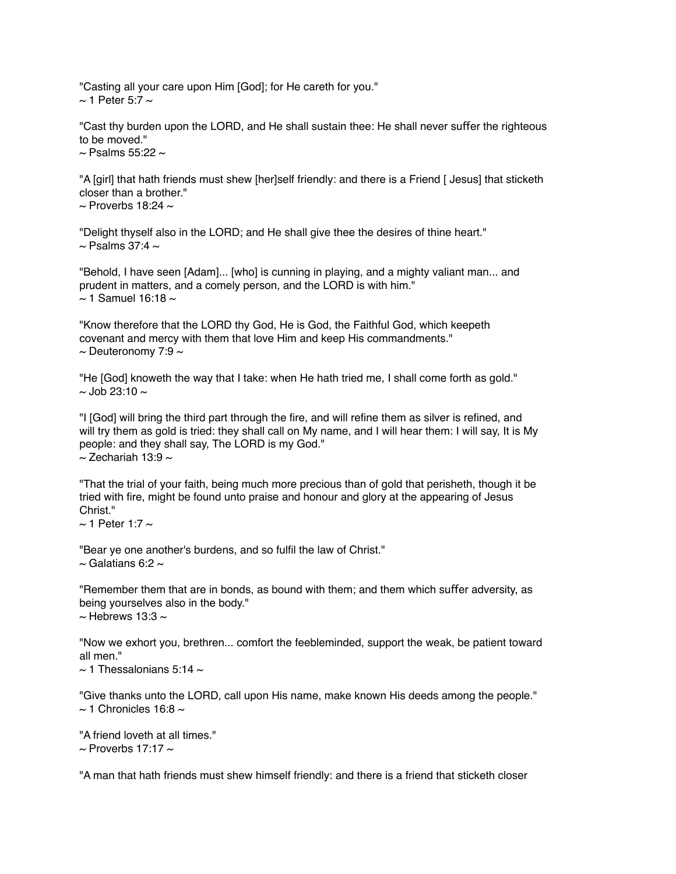"Casting all your care upon Him [God]; for He careth for you."  $\sim$  1 Peter 5:7  $\sim$ 

"Cast thy burden upon the LORD, and He shall sustain thee: He shall never suffer the righteous to be moved."

 $\sim$  Psalms 55:22  $\sim$ 

"A [girl] that hath friends must shew [her]self friendly: and there is a Friend [ Jesus] that sticketh closer than a brother."  $\sim$  Proverbs 18:24  $\sim$ 

"Delight thyself also in the LORD; and He shall give thee the desires of thine heart."  $\sim$  Psalms 37:4  $\sim$ 

"Behold, I have seen [Adam]... [who] is cunning in playing, and a mighty valiant man... and prudent in matters, and a comely person, and the LORD is with him."  $\approx$  1 Samuel 16:18  $\approx$ 

"Know therefore that the LORD thy God, He is God, the Faithful God, which keepeth covenant and mercy with them that love Him and keep His commandments."  $\sim$  Deuteronomy 7:9  $\sim$ 

"He [God] knoweth the way that I take: when He hath tried me, I shall come forth as gold."  $\sim$  Job 23:10  $\sim$ 

"I [God] will bring the third part through the fire, and will refine them as silver is refined, and will try them as gold is tried: they shall call on My name, and I will hear them: I will say, It is My people: and they shall say, The LORD is my God."  $\sim$  Zechariah 13:9  $\sim$ 

"That the trial of your faith, being much more precious than of gold that perisheth, though it be tried with fire, might be found unto praise and honour and glory at the appearing of Jesus Christ<sup>"</sup>

 $\sim$  1 Peter 1:7  $\sim$ 

"Bear ye one another's burdens, and so fulfil the law of Christ."  $\sim$  Galatians 6:2  $\sim$ 

"Remember them that are in bonds, as bound with them; and them which sufer adversity, as being yourselves also in the body."  $\sim$  Hebrews 13:3  $\sim$ 

"Now we exhort you, brethren... comfort the feebleminded, support the weak, be patient toward all men."

 $\sim$  1 Thessalonians 5:14  $\sim$ 

"Give thanks unto the LORD, call upon His name, make known His deeds among the people."  $\sim$  1 Chronicles 16:8  $\sim$ 

"A friend loveth at all times."  $\sim$  Proverbs 17:17  $\sim$ 

"A man that hath friends must shew himself friendly: and there is a friend that sticketh closer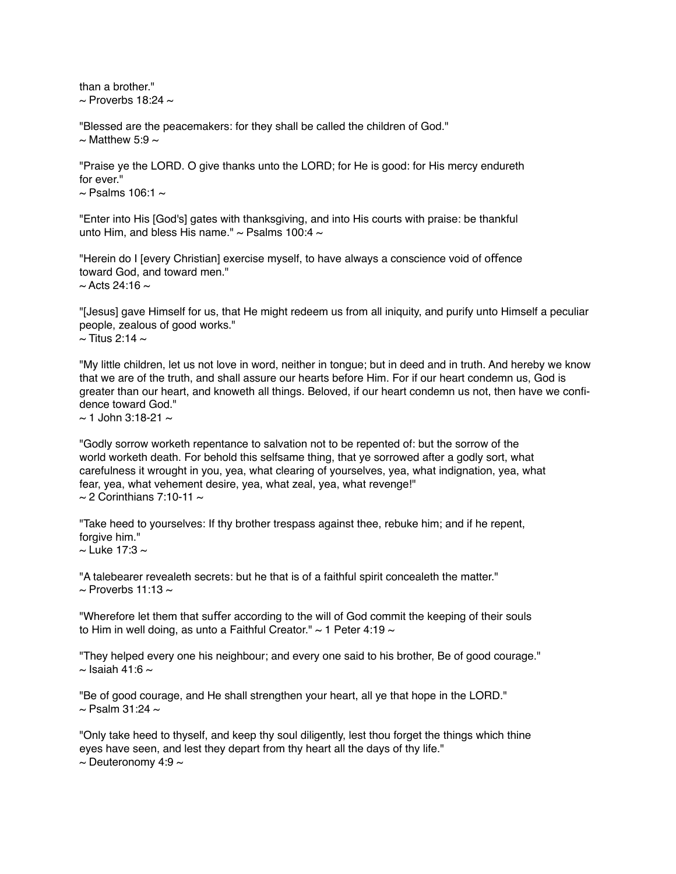than a brother."  $\sim$  Proverbs 18:24  $\sim$ 

"Blessed are the peacemakers: for they shall be called the children of God."  $\sim$  Matthew 5:9  $\sim$ 

"Praise ye the LORD. O give thanks unto the LORD; for He is good: for His mercy endureth for ever."  $\sim$  Psalms 106:1  $\sim$ 

"Enter into His [God's] gates with thanksgiving, and into His courts with praise: be thankful unto Him, and bless His name."  $\sim$  Psalms 100:4  $\sim$ 

"Herein do I [every Christian] exercise myself, to have always a conscience void of ofence toward God, and toward men."  $\sim$  Acts 24:16  $\sim$ 

"[Jesus] gave Himself for us, that He might redeem us from all iniquity, and purify unto Himself a peculiar people, zealous of good works."  $\sim$  Titus 2:14  $\sim$ 

"My little children, let us not love in word, neither in tongue; but in deed and in truth. And hereby we know that we are of the truth, and shall assure our hearts before Him. For if our heart condemn us, God is greater than our heart, and knoweth all things. Beloved, if our heart condemn us not, then have we confidence toward God."

 $\approx$  1 John 3:18-21  $\approx$ 

"Godly sorrow worketh repentance to salvation not to be repented of: but the sorrow of the world worketh death. For behold this selfsame thing, that ye sorrowed after a godly sort, what carefulness it wrought in you, yea, what clearing of yourselves, yea, what indignation, yea, what fear, yea, what vehement desire, yea, what zeal, yea, what revenge!"  $\sim$  2 Corinthians 7:10-11  $\sim$ 

"Take heed to yourselves: If thy brother trespass against thee, rebuke him; and if he repent, forgive him."

 $\sim$  Luke 17:3  $\sim$ 

"A talebearer revealeth secrets: but he that is of a faithful spirit concealeth the matter."  $\sim$  Proverbs 11:13  $\sim$ 

"Wherefore let them that suffer according to the will of God commit the keeping of their souls to Him in well doing, as unto a Faithful Creator."  $\sim$  1 Peter 4:19  $\sim$ 

"They helped every one his neighbour; and every one said to his brother, Be of good courage."  $\sim$  Isaiah 41:6  $\sim$ 

"Be of good courage, and He shall strengthen your heart, all ye that hope in the LORD."  $\sim$  Psalm 31:24  $\sim$ 

"Only take heed to thyself, and keep thy soul diligently, lest thou forget the things which thine eyes have seen, and lest they depart from thy heart all the days of thy life."  $\sim$  Deuteronomy 4:9  $\sim$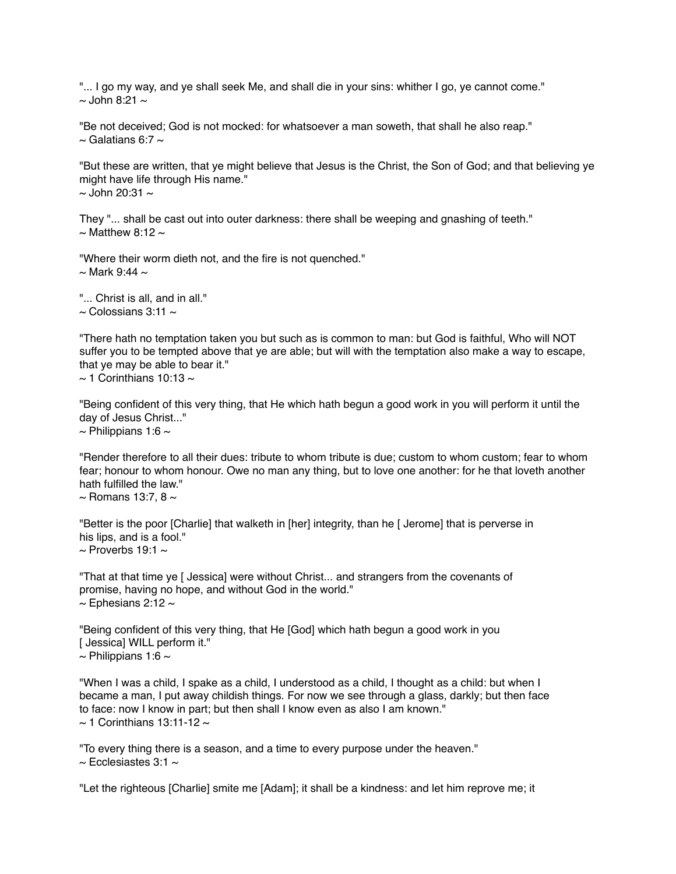"... I go my way, and ye shall seek Me, and shall die in your sins: whither I go, ye cannot come."  $\sim$  John 8:21  $\sim$ 

"Be not deceived; God is not mocked: for whatsoever a man soweth, that shall he also reap."  $\sim$  Galatians 6:7  $\sim$ 

"But these are written, that ye might believe that Jesus is the Christ, the Son of God; and that believing ye might have life through His name."  $\sim$  John 20:31  $\sim$ 

They "... shall be cast out into outer darkness: there shall be weeping and gnashing of teeth."  $\sim$  Matthew 8:12  $\sim$ 

"Where their worm dieth not, and the fire is not quenched."  $\sim$  Mark 9:44  $\sim$ 

"... Christ is all, and in all."  $\sim$  Colossians 3:11  $\sim$ 

"There hath no temptation taken you but such as is common to man: but God is faithful, Who will NOT suffer you to be tempted above that ye are able; but will with the temptation also make a way to escape, that ye may be able to bear it."  $\sim$  1 Corinthians 10:13  $\sim$ 

"Being confident of this very thing, that He which hath begun a good work in you will perform it until the day of Jesus Christ..."  $\sim$  Philippians 1:6  $\sim$ 

"Render therefore to all their dues: tribute to whom tribute is due; custom to whom custom; fear to whom fear; honour to whom honour. Owe no man any thing, but to love one another: for he that loveth another hath fulfilled the law."

 $\sim$  Romans 13:7, 8  $\sim$ 

"Better is the poor [Charlie] that walketh in [her] integrity, than he [ Jerome] that is perverse in his lips, and is a fool."  $\sim$  Proverbs 19:1  $\sim$ 

"That at that time ye [ Jessica] were without Christ... and strangers from the covenants of promise, having no hope, and without God in the world."  $\sim$  Ephesians 2:12  $\sim$ 

"Being confident of this very thing, that He [God] which hath begun a good work in you [ Jessica] WILL perform it."  $\sim$  Philippians 1:6  $\sim$ 

"When I was a child, I spake as a child, I understood as a child, I thought as a child: but when I became a man, I put away childish things. For now we see through a glass, darkly; but then face to face: now I know in part; but then shall I know even as also I am known."  $\sim$  1 Corinthians 13:11-12  $\sim$ 

"To every thing there is a season, and a time to every purpose under the heaven."  $\sim$  Ecclesiastes 3:1  $\sim$ 

"Let the righteous [Charlie] smite me [Adam]; it shall be a kindness: and let him reprove me; it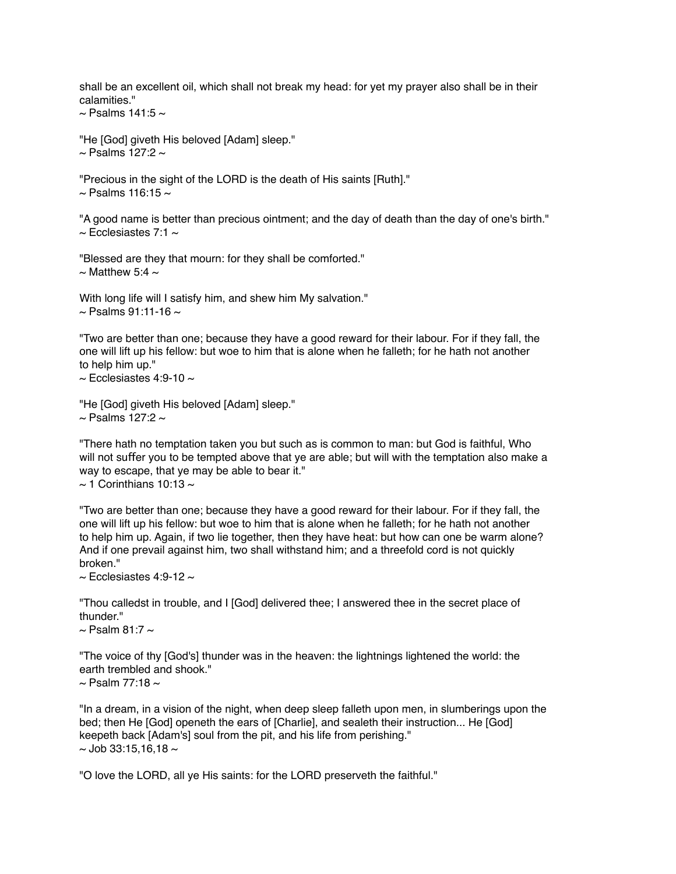shall be an excellent oil, which shall not break my head: for yet my prayer also shall be in their calamities."

 $\sim$  Psalms 141:5  $\sim$ 

"He [God] giveth His beloved [Adam] sleep."  $\sim$  Psalms 127:2  $\sim$ 

"Precious in the sight of the LORD is the death of His saints [Ruth]."  $\sim$  Psalms 116:15  $\sim$ 

"A good name is better than precious ointment; and the day of death than the day of one's birth."  $\sim$  Ecclesiastes 7:1  $\sim$ 

"Blessed are they that mourn: for they shall be comforted."  $\sim$  Matthew 5:4  $\sim$ 

With long life will I satisfy him, and shew him My salvation."  $\sim$  Psalms 91:11-16  $\sim$ 

"Two are better than one; because they have a good reward for their labour. For if they fall, the one will lift up his fellow: but woe to him that is alone when he falleth; for he hath not another to help him up."

 $\sim$  Ecclesiastes 4:9-10  $\sim$ 

"He [God] giveth His beloved [Adam] sleep."  $\sim$  Psalms 127:2  $\sim$ 

"There hath no temptation taken you but such as is common to man: but God is faithful, Who will not suffer you to be tempted above that ye are able; but will with the temptation also make a way to escape, that ye may be able to bear it."  $\sim$  1 Corinthians 10:13  $\sim$ 

"Two are better than one; because they have a good reward for their labour. For if they fall, the one will lift up his fellow: but woe to him that is alone when he falleth; for he hath not another to help him up. Again, if two lie together, then they have heat: but how can one be warm alone? And if one prevail against him, two shall withstand him; and a threefold cord is not quickly broken."

 $\sim$  Ecclesiastes 4:9-12  $\sim$ 

"Thou calledst in trouble, and I [God] delivered thee; I answered thee in the secret place of thunder."

 $\sim$  Psalm 81:7  $\sim$ 

"The voice of thy [God's] thunder was in the heaven: the lightnings lightened the world: the earth trembled and shook."

 $\sim$  Psalm 77:18  $\sim$ 

"In a dream, in a vision of the night, when deep sleep falleth upon men, in slumberings upon the bed; then He [God] openeth the ears of [Charlie], and sealeth their instruction... He [God] keepeth back [Adam's] soul from the pit, and his life from perishing."  $\sim$  Job 33:15.16.18  $\sim$ 

"O love the LORD, all ye His saints: for the LORD preserveth the faithful."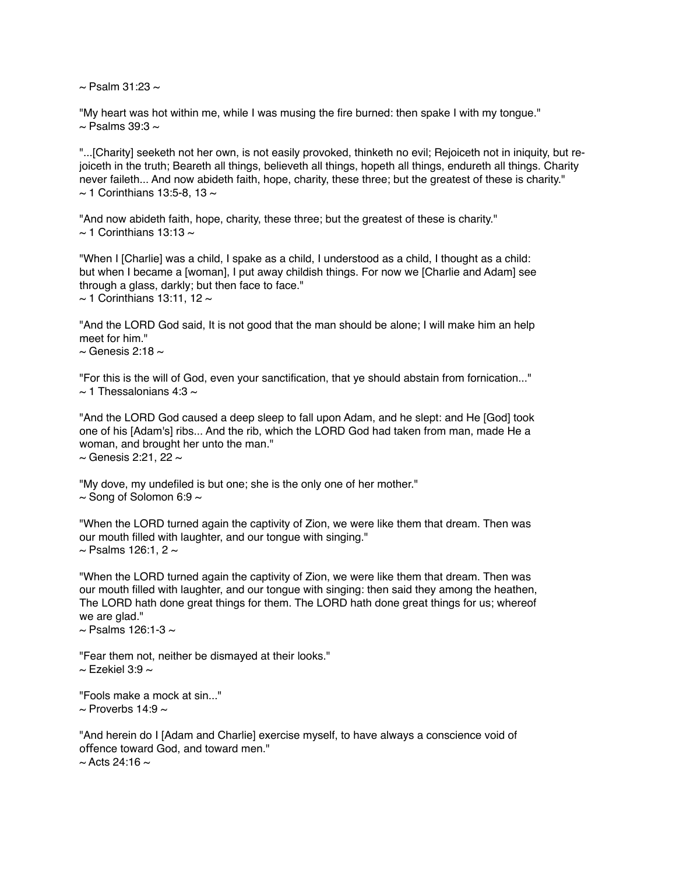$\sim$  Psalm 31:23  $\sim$ 

"My heart was hot within me, while I was musing the fire burned: then spake I with my tongue."  $\sim$  Psalms 39:3  $\sim$ 

"...[Charity] seeketh not her own, is not easily provoked, thinketh no evil; Rejoiceth not in iniquity, but rejoiceth in the truth; Beareth all things, believeth all things, hopeth all things, endureth all things. Charity never faileth... And now abideth faith, hope, charity, these three; but the greatest of these is charity."  $\sim$  1 Corinthians 13:5-8, 13  $\sim$ 

"And now abideth faith, hope, charity, these three; but the greatest of these is charity."  $\sim$  1 Corinthians 13:13  $\sim$ 

"When I [Charlie] was a child, I spake as a child, I understood as a child, I thought as a child: but when I became a [woman], I put away childish things. For now we [Charlie and Adam] see through a glass, darkly; but then face to face."  $\sim$  1 Corinthians 13:11, 12  $\sim$ 

"And the LORD God said, It is not good that the man should be alone; I will make him an help meet for him."

 $\sim$  Genesis 2:18  $\sim$ 

"For this is the will of God, even your sanctification, that ye should abstain from fornication..."  $\sim$  1 Thessalonians 4:3  $\sim$ 

"And the LORD God caused a deep sleep to fall upon Adam, and he slept: and He [God] took one of his [Adam's] ribs... And the rib, which the LORD God had taken from man, made He a woman, and brought her unto the man."  $\sim$  Genesis 2:21, 22  $\sim$ 

"My dove, my undefiled is but one; she is the only one of her mother."  $\sim$  Song of Solomon 6:9  $\sim$ 

"When the LORD turned again the captivity of Zion, we were like them that dream. Then was our mouth filled with laughter, and our tongue with singing."  $\sim$  Psalms 126:1, 2  $\sim$ 

"When the LORD turned again the captivity of Zion, we were like them that dream. Then was our mouth filled with laughter, and our tongue with singing: then said they among the heathen, The LORD hath done great things for them. The LORD hath done great things for us; whereof we are glad."

 $\sim$  Psalms 126:1-3  $\sim$ 

"Fear them not, neither be dismayed at their looks."  $\sim$  Fzekiel 3:9  $\sim$ 

"Fools make a mock at sin..."  $\sim$  Proverbs 14:9  $\sim$ 

"And herein do I [Adam and Charlie] exercise myself, to have always a conscience void of offence toward God, and toward men."  $\sim$  Acts 24:16  $\sim$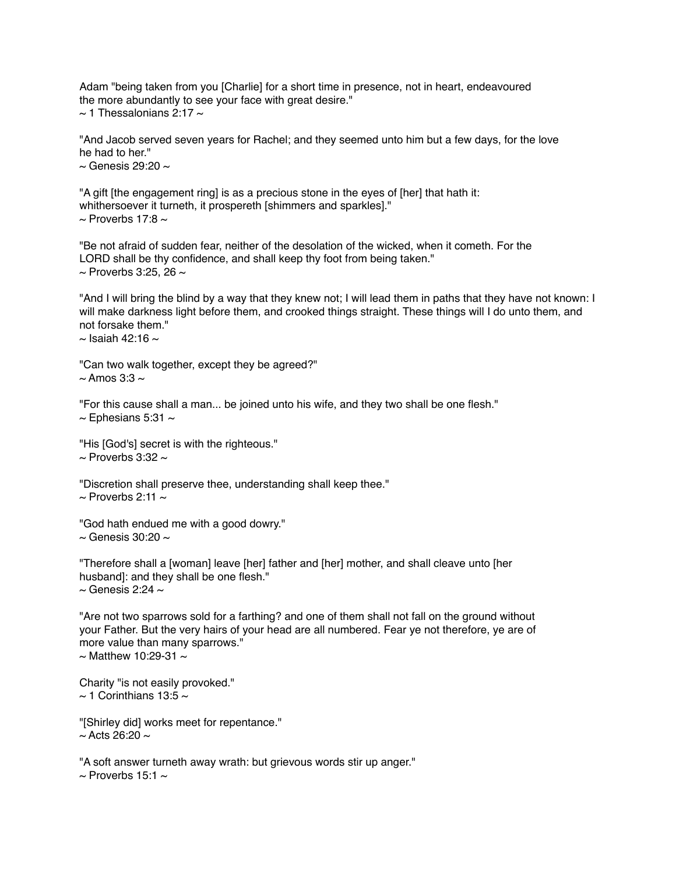Adam "being taken from you [Charlie] for a short time in presence, not in heart, endeavoured the more abundantly to see your face with great desire."  $\sim$  1 Thessalonians 2:17  $\sim$ 

"And Jacob served seven years for Rachel; and they seemed unto him but a few days, for the love he had to her."

 $\sim$  Genesis 29:20  $\sim$ 

"A gift [the engagement ring] is as a precious stone in the eyes of [her] that hath it: whithersoever it turneth, it prospereth [shimmers and sparkles]."  $\sim$  Proverbs 17:8  $\sim$ 

"Be not afraid of sudden fear, neither of the desolation of the wicked, when it cometh. For the LORD shall be thy confidence, and shall keep thy foot from being taken."  $\sim$  Proverbs 3:25, 26  $\sim$ 

"And I will bring the blind by a way that they knew not; I will lead them in paths that they have not known: I will make darkness light before them, and crooked things straight. These things will I do unto them, and not forsake them."  $\sim$  Isaiah 42:16  $\sim$ 

"Can two walk together, except they be agreed?"  $\sim$  Amos 3:3  $\sim$ 

"For this cause shall a man... be joined unto his wife, and they two shall be one flesh."  $\sim$  Ephesians 5:31  $\sim$ 

"His [God's] secret is with the righteous."  $\sim$  Proverbs 3:32  $\sim$ 

"Discretion shall preserve thee, understanding shall keep thee."  $\sim$  Proverbs 2:11  $\sim$ 

"God hath endued me with a good dowry."  $\sim$  Genesis 30:20  $\sim$ 

"Therefore shall a [woman] leave [her] father and [her] mother, and shall cleave unto [her husband]: and they shall be one flesh."

 $\sim$  Genesis 2:24  $\sim$ 

"Are not two sparrows sold for a farthing? and one of them shall not fall on the ground without your Father. But the very hairs of your head are all numbered. Fear ye not therefore, ye are of more value than many sparrows."  $\sim$  Matthew 10:29-31  $\sim$ 

Charity "is not easily provoked."  $\sim$  1 Corinthians 13:5  $\sim$ 

"[Shirley did] works meet for repentance."  $\sim$  Acts 26:20  $\sim$ 

"A soft answer turneth away wrath: but grievous words stir up anger."  $\sim$  Proverbs 15:1  $\sim$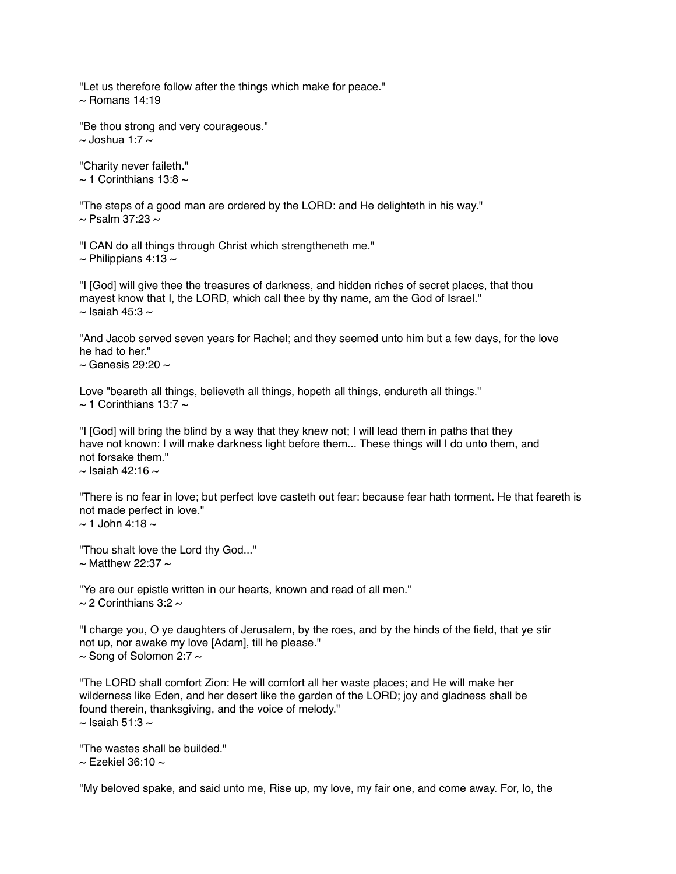"Let us therefore follow after the things which make for peace."  $\sim$  Romans 14:19

"Be thou strong and very courageous."  $\sim$  Joshua 1:7  $\sim$ 

"Charity never faileth."  $\sim$  1 Corinthians 13:8  $\sim$ 

"The steps of a good man are ordered by the LORD: and He delighteth in his way."  $\sim$  Psalm 37:23  $\sim$ 

"I CAN do all things through Christ which strengtheneth me."

 $\sim$  Philippians 4:13  $\sim$ 

"I [God] will give thee the treasures of darkness, and hidden riches of secret places, that thou mayest know that I, the LORD, which call thee by thy name, am the God of Israel."  $\sim$  Isaiah 45:3  $\sim$ 

"And Jacob served seven years for Rachel; and they seemed unto him but a few days, for the love he had to her."

 $\sim$  Genesis 29:20  $\sim$ 

Love "beareth all things, believeth all things, hopeth all things, endureth all things."  $\sim$  1 Corinthians 13:7  $\sim$ 

"I [God] will bring the blind by a way that they knew not; I will lead them in paths that they have not known: I will make darkness light before them... These things will I do unto them, and not forsake them."  $\sim$  Isaiah 42:16  $\sim$ 

"There is no fear in love; but perfect love casteth out fear: because fear hath torment. He that feareth is not made perfect in love."  $\sim$  1 John 4:18  $\sim$ 

"Thou shalt love the Lord thy God..."  $\sim$  Matthew 22:37  $\sim$ 

"Ye are our epistle written in our hearts, known and read of all men."  $\sim$  2 Corinthians 3:2  $\sim$ 

"I charge you, O ye daughters of Jerusalem, by the roes, and by the hinds of the field, that ye stir not up, nor awake my love [Adam], till he please."  $\sim$  Song of Solomon 2:7  $\sim$ 

"The LORD shall comfort Zion: He will comfort all her waste places; and He will make her wilderness like Eden, and her desert like the garden of the LORD; joy and gladness shall be found therein, thanksgiving, and the voice of melody."  $\sim$  Isaiah 51:3  $\sim$ 

"The wastes shall be builded."

 $\sim$  Fzekiel 36:10  $\sim$ 

"My beloved spake, and said unto me, Rise up, my love, my fair one, and come away. For, lo, the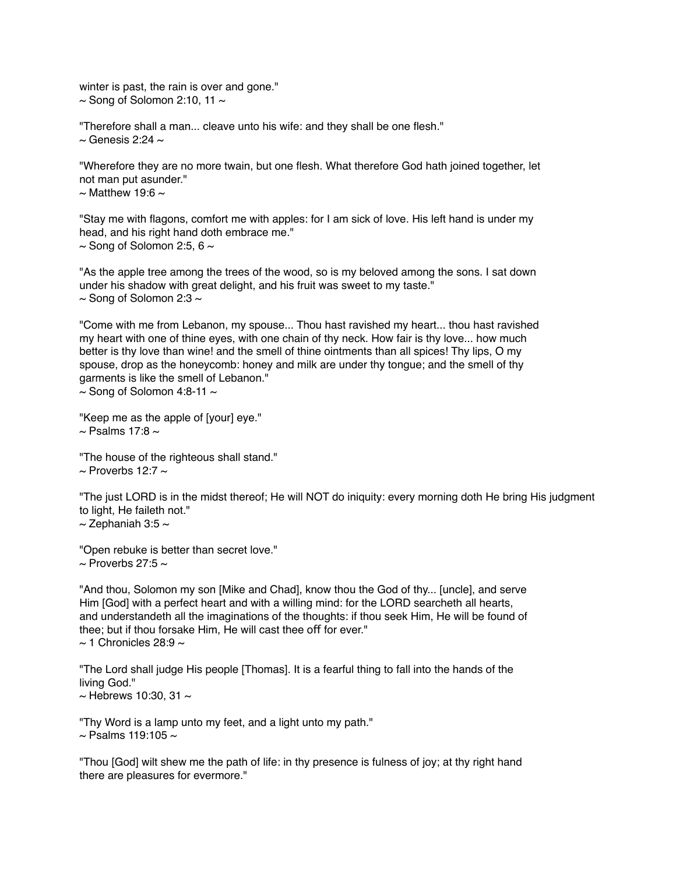winter is past, the rain is over and gone."  $\sim$  Song of Solomon 2:10, 11  $\sim$ 

"Therefore shall a man... cleave unto his wife: and they shall be one flesh."  $\sim$  Genesis 2:24  $\sim$ 

"Wherefore they are no more twain, but one flesh. What therefore God hath joined together, let not man put asunder."  $\sim$  Matthew 19:6  $\sim$ 

"Stay me with flagons, comfort me with apples: for I am sick of love. His left hand is under my head, and his right hand doth embrace me."  $\sim$  Song of Solomon 2:5, 6  $\sim$ 

"As the apple tree among the trees of the wood, so is my beloved among the sons. I sat down under his shadow with great delight, and his fruit was sweet to my taste."  $\sim$  Song of Solomon 2:3  $\sim$ 

"Come with me from Lebanon, my spouse... Thou hast ravished my heart... thou hast ravished my heart with one of thine eyes, with one chain of thy neck. How fair is thy love... how much better is thy love than wine! and the smell of thine ointments than all spices! Thy lips, O my spouse, drop as the honeycomb: honey and milk are under thy tongue; and the smell of thy garments is like the smell of Lebanon."

 $\sim$  Song of Solomon 4:8-11  $\sim$ 

```
"Keep me as the apple of [your] eye."
\sim Psalms 17:8 \sim
```
"The house of the righteous shall stand."  $\sim$  Proverbs 12:7  $\sim$ 

"The just LORD is in the midst thereof; He will NOT do iniquity: every morning doth He bring His judgment to light, He faileth not."  $\sim$  Zephaniah 3:5  $\sim$ 

"Open rebuke is better than secret love."  $\sim$  Proverbs 27:5  $\sim$ 

"And thou, Solomon my son [Mike and Chad], know thou the God of thy... [uncle], and serve Him [God] with a perfect heart and with a willing mind: for the LORD searcheth all hearts, and understandeth all the imaginations of the thoughts: if thou seek Him, He will be found of thee; but if thou forsake Him, He will cast thee off for ever."  $\sim$  1 Chronicles 28:9  $\sim$ 

"The Lord shall judge His people [Thomas]. It is a fearful thing to fall into the hands of the living God."

 $\sim$  Hebrews 10:30, 31  $\sim$ 

"Thy Word is a lamp unto my feet, and a light unto my path."  $\sim$  Psalms 119:105  $\sim$ 

"Thou [God] wilt shew me the path of life: in thy presence is fulness of joy; at thy right hand there are pleasures for evermore."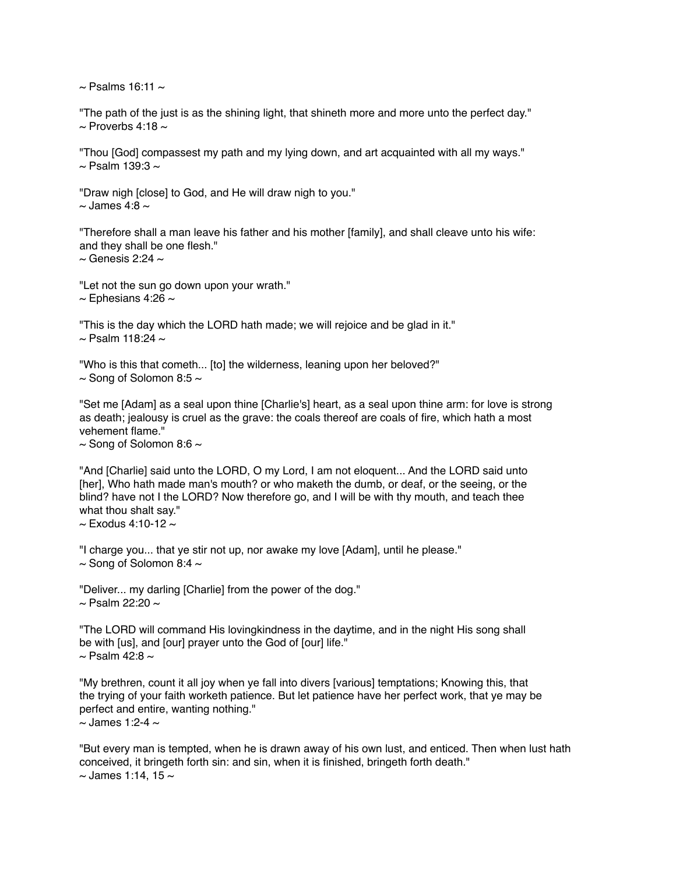$\sim$  Psalms 16:11  $\sim$ 

"The path of the just is as the shining light, that shineth more and more unto the perfect day."  $\sim$  Proverbs 4:18  $\sim$ 

"Thou [God] compassest my path and my lying down, and art acquainted with all my ways."  $\sim$  Psalm 139:3  $\sim$ 

"Draw nigh [close] to God, and He will draw nigh to you."  $\sim$  James 4:8  $\sim$ 

"Therefore shall a man leave his father and his mother [family], and shall cleave unto his wife: and they shall be one flesh."

 $\sim$  Genesis 2:24  $\sim$ 

"Let not the sun go down upon your wrath."  $\sim$  Ephesians 4:26  $\sim$ 

"This is the day which the LORD hath made; we will rejoice and be glad in it."  $\sim$  Psalm 118:24  $\sim$ 

"Who is this that cometh... [to] the wilderness, leaning upon her beloved?"  $\sim$  Song of Solomon 8:5  $\sim$ 

"Set me [Adam] as a seal upon thine [Charlie's] heart, as a seal upon thine arm: for love is strong as death; jealousy is cruel as the grave: the coals thereof are coals of fire, which hath a most vehement flame."

 $\sim$  Song of Solomon 8:6  $\sim$ 

"And [Charlie] said unto the LORD, O my Lord, I am not eloquent... And the LORD said unto [her], Who hath made man's mouth? or who maketh the dumb, or deaf, or the seeing, or the blind? have not I the LORD? Now therefore go, and I will be with thy mouth, and teach thee what thou shalt say."

 $\sim$  Exodus 4:10-12  $\sim$ 

"I charge you... that ye stir not up, nor awake my love [Adam], until he please."  $\sim$  Song of Solomon 8:4  $\sim$ 

"Deliver... my darling [Charlie] from the power of the dog."  $\sim$  Psalm 22:20  $\sim$ 

"The LORD will command His lovingkindness in the daytime, and in the night His song shall be with [us], and [our] prayer unto the God of [our] life."  $\sim$  Psalm 42:8  $\sim$ 

"My brethren, count it all joy when ye fall into divers [various] temptations; Knowing this, that the trying of your faith worketh patience. But let patience have her perfect work, that ye may be perfect and entire, wanting nothing."  $\sim$  James 1:2-4  $\sim$ 

"But every man is tempted, when he is drawn away of his own lust, and enticed. Then when lust hath conceived, it bringeth forth sin: and sin, when it is finished, bringeth forth death."  $\sim$  James 1:14, 15  $\sim$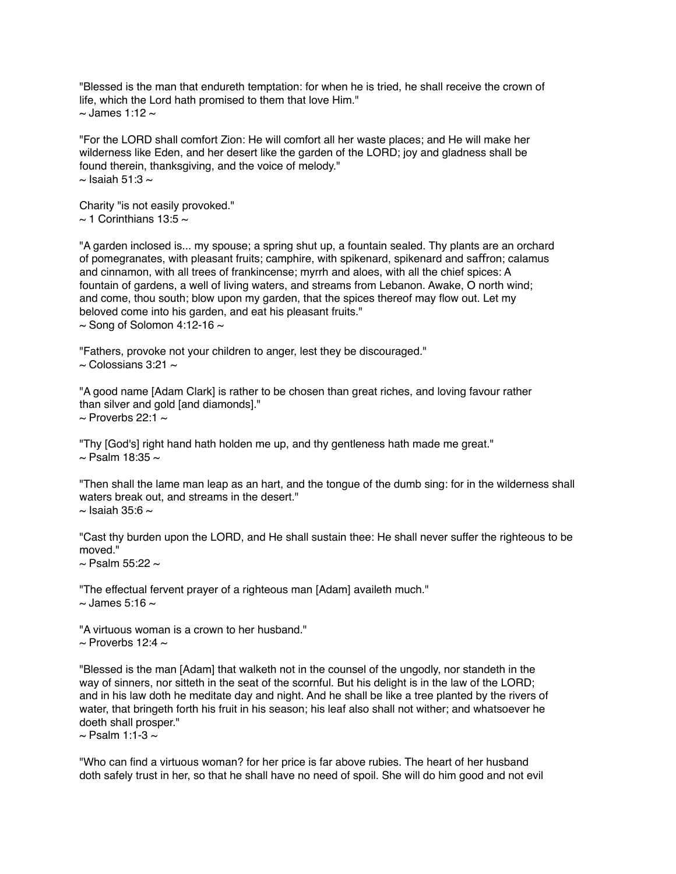"Blessed is the man that endureth temptation: for when he is tried, he shall receive the crown of life, which the Lord hath promised to them that love Him."  $\sim$  James 1:12  $\sim$ 

"For the LORD shall comfort Zion: He will comfort all her waste places; and He will make her wilderness like Eden, and her desert like the garden of the LORD; joy and gladness shall be found therein, thanksgiving, and the voice of melody."  $\sim$  Isaiah 51:3  $\sim$ 

Charity "is not easily provoked."  $\sim$  1 Corinthians 13:5  $\sim$ 

"A garden inclosed is... my spouse; a spring shut up, a fountain sealed. Thy plants are an orchard of pomegranates, with pleasant fruits; camphire, with spikenard, spikenard and safron; calamus and cinnamon, with all trees of frankincense; myrrh and aloes, with all the chief spices: A fountain of gardens, a well of living waters, and streams from Lebanon. Awake, O north wind; and come, thou south; blow upon my garden, that the spices thereof may flow out. Let my beloved come into his garden, and eat his pleasant fruits."  $\sim$  Song of Solomon 4:12-16  $\sim$ 

"Fathers, provoke not your children to anger, lest they be discouraged."  $\sim$  Colossians 3:21  $\sim$ 

"A good name [Adam Clark] is rather to be chosen than great riches, and loving favour rather than silver and gold [and diamonds]."

 $\sim$  Proverbs 22:1  $\sim$ 

"Thy [God's] right hand hath holden me up, and thy gentleness hath made me great."  $\sim$  Psalm 18:35  $\sim$ 

"Then shall the lame man leap as an hart, and the tongue of the dumb sing: for in the wilderness shall waters break out, and streams in the desert."  $\sim$  Isaiah 35:6  $\sim$ 

"Cast thy burden upon the LORD, and He shall sustain thee: He shall never suffer the righteous to be moved."

 $\sim$  Psalm 55:22  $\sim$ 

"The effectual fervent prayer of a righteous man [Adam] availeth much."  $\sim$  James 5:16  $\sim$ 

"A virtuous woman is a crown to her husband."  $\sim$  Proverbs 12:4  $\sim$ 

"Blessed is the man [Adam] that walketh not in the counsel of the ungodly, nor standeth in the way of sinners, nor sitteth in the seat of the scornful. But his delight is in the law of the LORD; and in his law doth he meditate day and night. And he shall be like a tree planted by the rivers of water, that bringeth forth his fruit in his season; his leaf also shall not wither; and whatsoever he doeth shall prosper."

 $\sim$  Psalm 1:1-3  $\sim$ 

"Who can find a virtuous woman? for her price is far above rubies. The heart of her husband doth safely trust in her, so that he shall have no need of spoil. She will do him good and not evil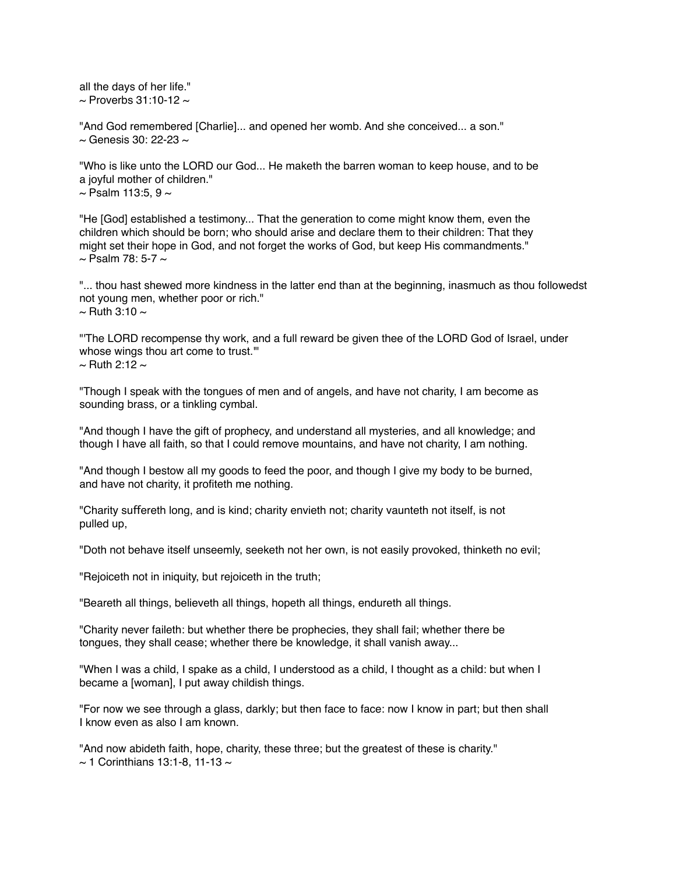all the days of her life."  $\sim$  Proverbs 31:10-12  $\sim$ 

"And God remembered [Charlie]... and opened her womb. And she conceived... a son."  $\sim$  Genesis 30: 22-23  $\sim$ 

"Who is like unto the LORD our God... He maketh the barren woman to keep house, and to be a joyful mother of children."  $\sim$  Psalm 113:5, 9  $\sim$ 

"He [God] established a testimony... That the generation to come might know them, even the children which should be born; who should arise and declare them to their children: That they might set their hope in God, and not forget the works of God, but keep His commandments."  $\sim$  Psalm 78: 5-7  $\sim$ 

"... thou hast shewed more kindness in the latter end than at the beginning, inasmuch as thou followedst not young men, whether poor or rich."  $\sim$  Ruth 3:10  $\sim$ 

"'The LORD recompense thy work, and a full reward be given thee of the LORD God of Israel, under whose wings thou art come to trust."  $\sim$  Ruth 2:12  $\sim$ 

"Though I speak with the tongues of men and of angels, and have not charity, I am become as sounding brass, or a tinkling cymbal.

"And though I have the gift of prophecy, and understand all mysteries, and all knowledge; and though I have all faith, so that I could remove mountains, and have not charity, I am nothing.

"And though I bestow all my goods to feed the poor, and though I give my body to be burned, and have not charity, it profiteth me nothing.

"Charity suffereth long, and is kind; charity envieth not; charity vaunteth not itself, is not pulled up,

"Doth not behave itself unseemly, seeketh not her own, is not easily provoked, thinketh no evil;

"Rejoiceth not in iniquity, but rejoiceth in the truth;

"Beareth all things, believeth all things, hopeth all things, endureth all things.

"Charity never faileth: but whether there be prophecies, they shall fail; whether there be tongues, they shall cease; whether there be knowledge, it shall vanish away...

"When I was a child, I spake as a child, I understood as a child, I thought as a child: but when I became a [woman], I put away childish things.

"For now we see through a glass, darkly; but then face to face: now I know in part; but then shall I know even as also I am known.

"And now abideth faith, hope, charity, these three; but the greatest of these is charity."  $\sim$  1 Corinthians 13:1-8, 11-13  $\sim$